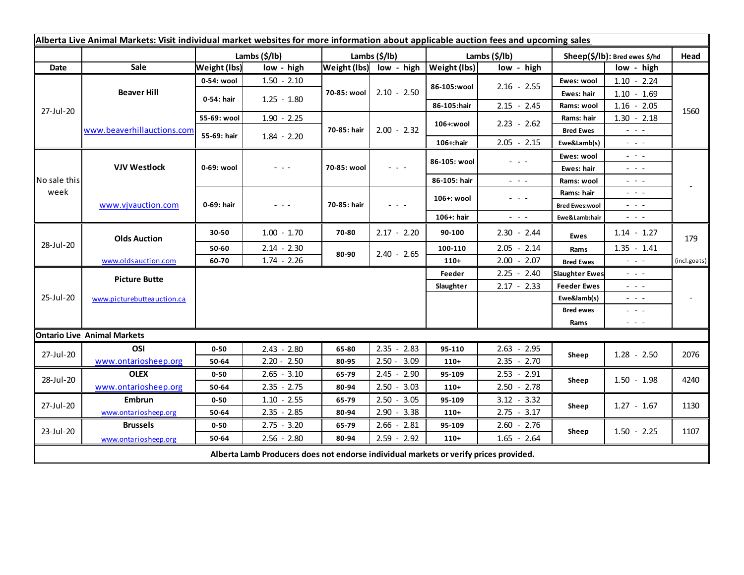| Alberta Live Animal Markets: Visit individual market websites for more information about applicable auction fees and upcoming sales |                                    |                           |               |                       |                                                                                                                        |               |                                                                                                                           |                               |                                                                                                                        |              |
|-------------------------------------------------------------------------------------------------------------------------------------|------------------------------------|---------------------------|---------------|-----------------------|------------------------------------------------------------------------------------------------------------------------|---------------|---------------------------------------------------------------------------------------------------------------------------|-------------------------------|------------------------------------------------------------------------------------------------------------------------|--------------|
|                                                                                                                                     |                                    | Lambs $(\frac{2}{3})$ lb) |               | Lambs $(\frac{2}{3})$ |                                                                                                                        | Lambs (\$/lb) |                                                                                                                           | Sheep(\$/lb): Bred ewes \$/hd |                                                                                                                        | Head         |
| Date                                                                                                                                | Sale                               | <b>Weight (lbs)</b>       | low - high    |                       | Weight (lbs) low - high                                                                                                | Weight (lbs)  | low - high                                                                                                                |                               | low - high                                                                                                             |              |
| 27-Jul-20                                                                                                                           | <b>Beaver Hill</b>                 | 0-54: wool                | $1.50 - 2.10$ | 70-85: wool           | $2.10 - 2.50$                                                                                                          | 86-105:wool   | $2.16 - 2.55$                                                                                                             | Ewes: wool                    | $1.10 - 2.24$                                                                                                          |              |
|                                                                                                                                     |                                    | 0-54: hair                | $1.25 - 1.80$ |                       |                                                                                                                        |               |                                                                                                                           | Ewes: hair                    | $1.10 - 1.69$                                                                                                          |              |
|                                                                                                                                     |                                    |                           |               |                       |                                                                                                                        | 86-105:hair   | $2.15 - 2.45$                                                                                                             | Rams: wool                    | $1.16 - 2.05$                                                                                                          | 1560         |
|                                                                                                                                     | www.beaverhillauctions.com         | 55-69: wool               | $1.90 - 2.25$ | 70-85: hair           | $2.00 - 2.32$                                                                                                          | 106+:wool     | $2.23 - 2.62$                                                                                                             | Rams: hair                    | $1.30 - 2.18$                                                                                                          |              |
|                                                                                                                                     |                                    | 55-69: hair               | $1.84 - 2.20$ |                       |                                                                                                                        |               |                                                                                                                           | <b>Bred Ewes</b>              | $- - -$                                                                                                                |              |
|                                                                                                                                     |                                    |                           |               |                       |                                                                                                                        | 106+:hair     | $2.05 - 2.15$                                                                                                             | Ewe&Lamb(s)                   | - - -                                                                                                                  |              |
| No sale this<br>week                                                                                                                | <b>VJV Westlock</b>                | 0-69: wool                | - - -         | 70-85: wool           | $\frac{1}{2} \left( \frac{1}{2} \right) \frac{1}{2} \left( \frac{1}{2} \right) \frac{1}{2} \left( \frac{1}{2} \right)$ | 86-105: wool  | $  -$                                                                                                                     | Ewes: wool                    | $\sim$ $\sim$ $\sim$                                                                                                   |              |
|                                                                                                                                     |                                    |                           |               |                       |                                                                                                                        |               |                                                                                                                           | Ewes: hair                    | $\frac{1}{2} \left( \frac{1}{2} \right) = \frac{1}{2} \left( \frac{1}{2} \right)$                                      |              |
|                                                                                                                                     |                                    |                           |               |                       |                                                                                                                        | 86-105: hair  | $\sim$ $\sim$ $\sim$                                                                                                      | Rams: wool                    | $  -$                                                                                                                  |              |
|                                                                                                                                     | www.vjvauction.com                 | 0-69: hair                | - - -         | 70-85: hair           | $  -$                                                                                                                  | 106+: wool    | $\frac{1}{2} \left( \frac{1}{2} \right) \left( \frac{1}{2} \right) \left( \frac{1}{2} \right) \left( \frac{1}{2} \right)$ | Rams: hair                    | $\omega_{\rm{eff}}$ and $\omega_{\rm{eff}}$                                                                            |              |
|                                                                                                                                     |                                    |                           |               |                       |                                                                                                                        |               |                                                                                                                           | <b>Bred Ewes:wool</b>         | $  -$                                                                                                                  |              |
|                                                                                                                                     |                                    |                           |               |                       |                                                                                                                        | 106+: hair    | $ -$                                                                                                                      | Ewe&Lamb:hair                 | $\frac{1}{2} \left( \frac{1}{2} \right) \frac{1}{2} \left( \frac{1}{2} \right) \frac{1}{2} \left( \frac{1}{2} \right)$ |              |
| 28-Jul-20                                                                                                                           | <b>Olds Auction</b>                | 30-50                     | $1.00 - 1.70$ | 70-80                 | $2.17 - 2.20$                                                                                                          | 90-100        | $2.30 - 2.44$                                                                                                             | <b>Ewes</b>                   | $1.14 - 1.27$                                                                                                          | 179          |
|                                                                                                                                     |                                    | 50-60                     | $2.14 - 2.30$ | 80-90                 | $2.40 - 2.65$                                                                                                          | 100-110       | $2.05 - 2.14$                                                                                                             | Rams                          | $1.35 - 1.41$                                                                                                          |              |
|                                                                                                                                     | www.oldsauction.com                | 60-70                     | $1.74 - 2.26$ |                       |                                                                                                                        | $110+$        | $2.00 - 2.07$                                                                                                             | <b>Bred Ewes</b>              | $\frac{1}{2} \left( \frac{1}{2} \right) \left( \frac{1}{2} \right) \left( \frac{1}{2} \right)$                         | (incl.goats) |
| 25-Jul-20                                                                                                                           | <b>Picture Butte</b>               |                           |               |                       |                                                                                                                        | Feeder        | $2.25 - 2.40$                                                                                                             | <b>Slaughter Ewes</b>         | $ -$                                                                                                                   |              |
|                                                                                                                                     | www.picturebutteauction.ca         |                           |               |                       |                                                                                                                        | Slaughter     | $2.17 - 2.33$                                                                                                             | <b>Feeder Ewes</b>            | $  -$                                                                                                                  |              |
|                                                                                                                                     |                                    |                           |               |                       |                                                                                                                        |               |                                                                                                                           | Ewe&lamb(s)                   | - - -                                                                                                                  |              |
|                                                                                                                                     |                                    |                           |               |                       |                                                                                                                        |               |                                                                                                                           | <b>Bred ewes</b>              | $\frac{1}{2} \left( \frac{1}{2} \right) \frac{1}{2} \left( \frac{1}{2} \right) \frac{1}{2} \left( \frac{1}{2} \right)$ |              |
|                                                                                                                                     |                                    |                           |               |                       |                                                                                                                        |               |                                                                                                                           | Rams                          | $\frac{1}{2} \left( \frac{1}{2} \right) \frac{1}{2} \left( \frac{1}{2} \right) \frac{1}{2} \left( \frac{1}{2} \right)$ |              |
|                                                                                                                                     | <b>Ontario Live Animal Markets</b> |                           |               |                       |                                                                                                                        |               |                                                                                                                           |                               |                                                                                                                        |              |
| 27-Jul-20                                                                                                                           | OSI                                | $0 - 50$                  | $2.43 - 2.80$ | 65-80                 | 2.35<br>$-2.83$                                                                                                        | 95-110        | $2.63 - 2.95$                                                                                                             | Sheep                         | $1.28 - 2.50$                                                                                                          | 2076         |
|                                                                                                                                     | www.ontariosheep.org               | 50-64                     | $2.20 - 2.50$ | 80-95                 | $2.50 - 3.09$                                                                                                          | $110+$        | $2.35 - 2.70$                                                                                                             |                               |                                                                                                                        |              |
| 28-Jul-20                                                                                                                           | <b>OLEX</b>                        | $0 - 50$                  | $2.65 - 3.10$ | 65-79                 | $2.45 - 2.90$                                                                                                          | 95-109        | $2.53 - 2.91$                                                                                                             | Sheep                         | $1.50 - 1.98$                                                                                                          | 4240         |
|                                                                                                                                     | www.ontariosheep.org               | 50-64                     | $2.35 - 2.75$ | 80-94                 | $2.50 - 3.03$                                                                                                          | $110+$        | $2.50 - 2.78$                                                                                                             |                               |                                                                                                                        |              |
| 27-Jul-20                                                                                                                           | <b>Embrun</b>                      | $0 - 50$                  | $1.10 - 2.55$ | 65-79                 | $2.50 - 3.05$                                                                                                          | 95-109        | $3.12 - 3.32$                                                                                                             | Sheep                         | $1.27 - 1.67$                                                                                                          | 1130         |
|                                                                                                                                     | www.ontariosheep.org               | 50-64                     | $2.35 - 2.85$ | 80-94                 | $2.90 - 3.38$                                                                                                          | $110+$        | $2.75 - 3.17$                                                                                                             |                               |                                                                                                                        |              |
| 23-Jul-20                                                                                                                           | <b>Brussels</b>                    | $0 - 50$                  | $2.75 - 3.20$ | 65-79                 | $2.66 - 2.81$                                                                                                          | 95-109        | $2.60 - 2.76$                                                                                                             | Sheep                         | $1.50 - 2.25$                                                                                                          | 1107         |
|                                                                                                                                     | www.ontariosheep.org               | 50-64                     | $2.56 - 2.80$ | 80-94                 | $2.59 - 2.92$                                                                                                          | $110+$        | $1.65 - 2.64$                                                                                                             |                               |                                                                                                                        |              |
| Alberta Lamb Producers does not endorse individual markets or verify prices provided.                                               |                                    |                           |               |                       |                                                                                                                        |               |                                                                                                                           |                               |                                                                                                                        |              |